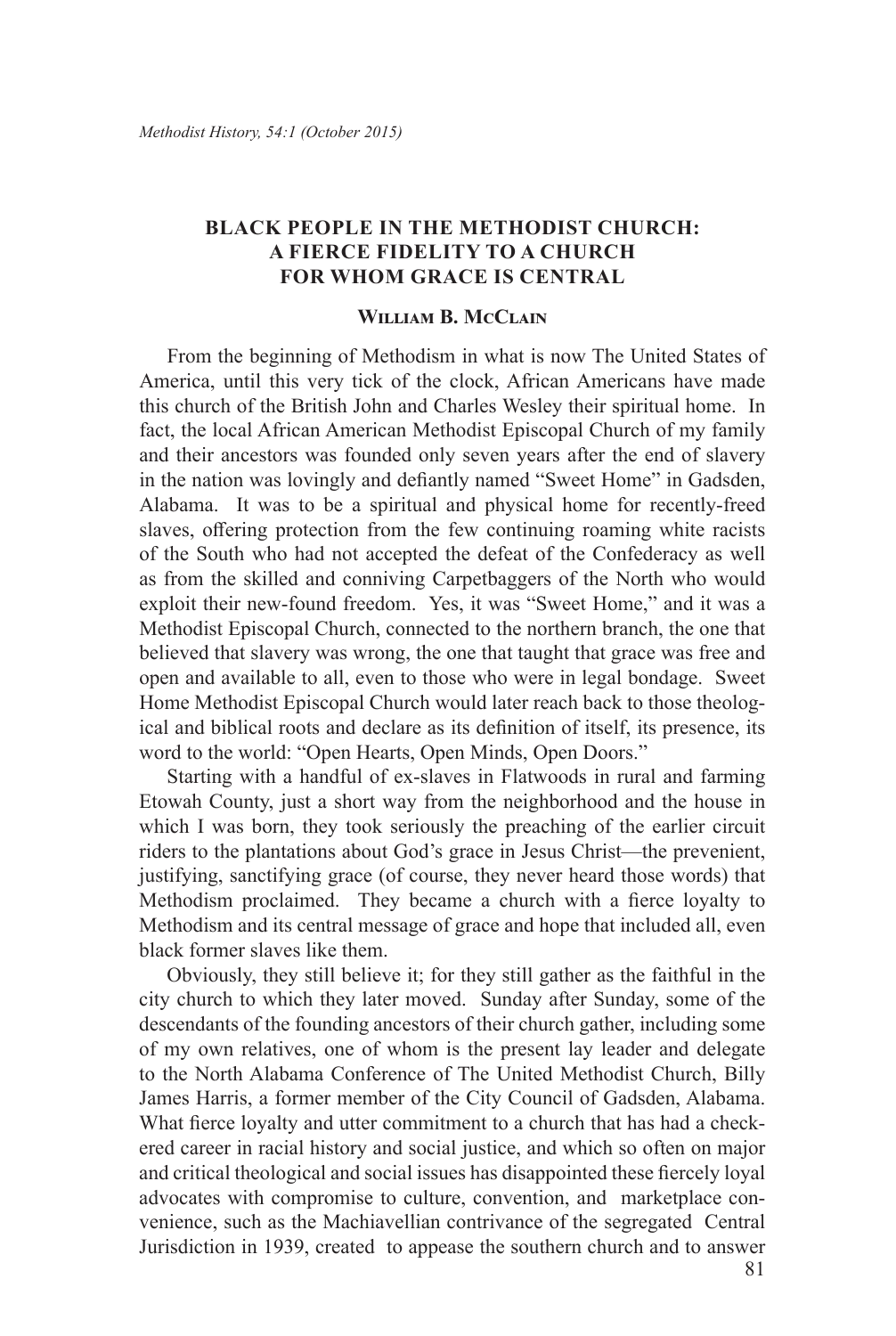# **BLACK PEOPLE IN THE METHODIST CHURCH: A FIERCE FIDELITY TO A CHURCH FOR WHOM GRACE IS CENTRAL**

#### **William B. McClain**

From the beginning of Methodism in what is now The United States of America, until this very tick of the clock, African Americans have made this church of the British John and Charles Wesley their spiritual home. In fact, the local African American Methodist Episcopal Church of my family and their ancestors was founded only seven years after the end of slavery in the nation was lovingly and defiantly named "Sweet Home" in Gadsden, Alabama. It was to be a spiritual and physical home for recently-freed slaves, offering protection from the few continuing roaming white racists of the South who had not accepted the defeat of the Confederacy as well as from the skilled and conniving Carpetbaggers of the North who would exploit their new-found freedom. Yes, it was "Sweet Home," and it was a Methodist Episcopal Church, connected to the northern branch, the one that believed that slavery was wrong, the one that taught that grace was free and open and available to all, even to those who were in legal bondage. Sweet Home Methodist Episcopal Church would later reach back to those theological and biblical roots and declare as its definition of itself, its presence, its word to the world: "Open Hearts, Open Minds, Open Doors."

Starting with a handful of ex-slaves in Flatwoods in rural and farming Etowah County, just a short way from the neighborhood and the house in which I was born, they took seriously the preaching of the earlier circuit riders to the plantations about God's grace in Jesus Christ—the prevenient, justifying, sanctifying grace (of course, they never heard those words) that Methodism proclaimed. They became a church with a fierce loyalty to Methodism and its central message of grace and hope that included all, even black former slaves like them.

Obviously, they still believe it; for they still gather as the faithful in the city church to which they later moved. Sunday after Sunday, some of the descendants of the founding ancestors of their church gather, including some of my own relatives, one of whom is the present lay leader and delegate to the North Alabama Conference of The United Methodist Church, Billy James Harris, a former member of the City Council of Gadsden, Alabama. What fierce loyalty and utter commitment to a church that has had a checkered career in racial history and social justice, and which so often on major and critical theological and social issues has disappointed these fiercely loyal advocates with compromise to culture, convention, and marketplace convenience, such as the Machiavellian contrivance of the segregated Central Jurisdiction in 1939, created to appease the southern church and to answer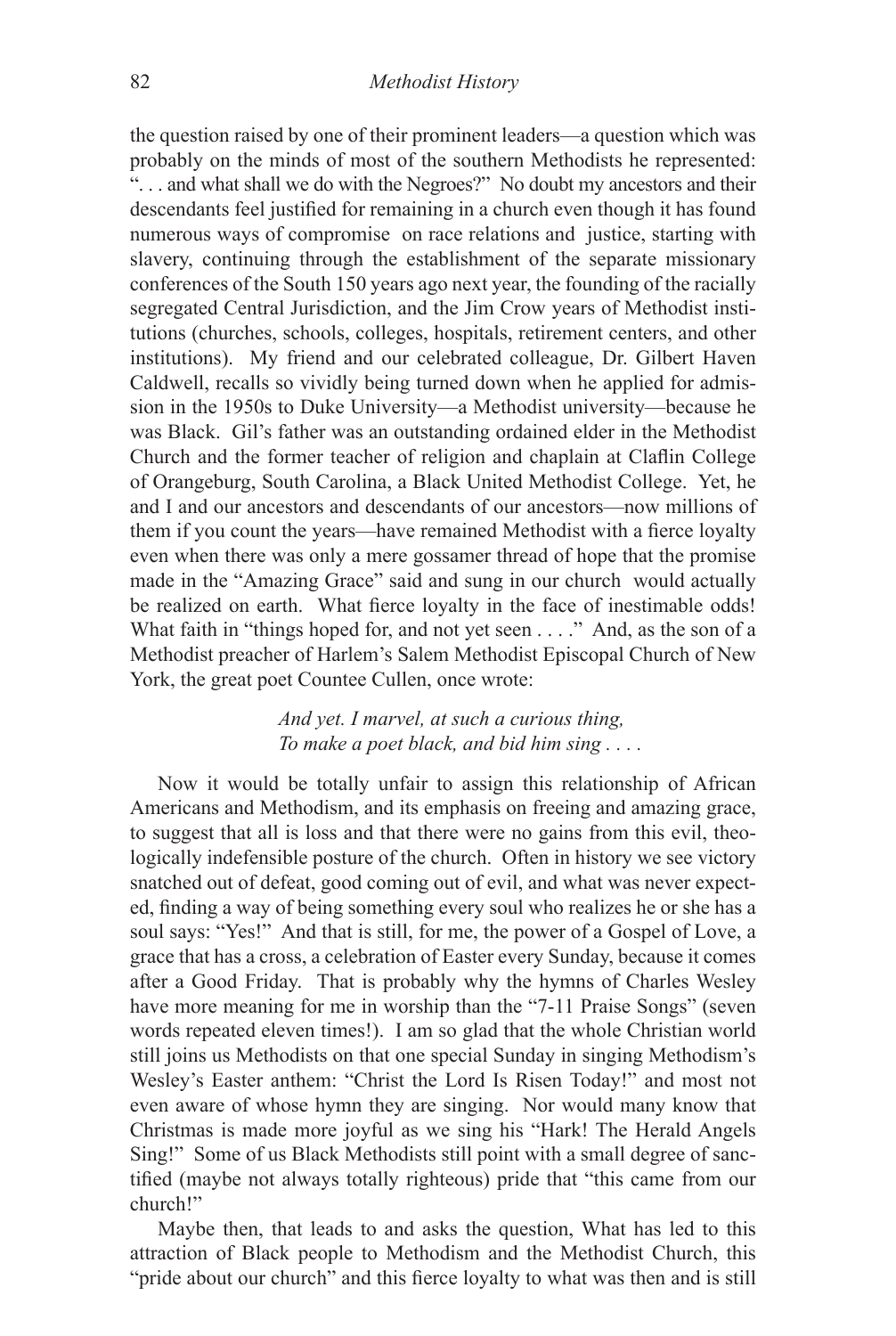the question raised by one of their prominent leaders—a question which was probably on the minds of most of the southern Methodists he represented: ". . . and what shall we do with the Negroes?" No doubt my ancestors and their descendants feel justified for remaining in a church even though it has found numerous ways of compromise on race relations and justice, starting with slavery, continuing through the establishment of the separate missionary conferences of the South 150 years ago next year, the founding of the racially segregated Central Jurisdiction, and the Jim Crow years of Methodist institutions (churches, schools, colleges, hospitals, retirement centers, and other institutions). My friend and our celebrated colleague, Dr. Gilbert Haven Caldwell, recalls so vividly being turned down when he applied for admission in the 1950s to Duke University—a Methodist university—because he was Black. Gil's father was an outstanding ordained elder in the Methodist Church and the former teacher of religion and chaplain at Claflin College of Orangeburg, South Carolina, a Black United Methodist College. Yet, he and I and our ancestors and descendants of our ancestors—now millions of them if you count the years—have remained Methodist with a fierce loyalty even when there was only a mere gossamer thread of hope that the promise made in the "Amazing Grace" said and sung in our church would actually be realized on earth. What fierce loyalty in the face of inestimable odds! What faith in "things hoped for, and not yet seen . . . ." And, as the son of a Methodist preacher of Harlem's Salem Methodist Episcopal Church of New York, the great poet Countee Cullen, once wrote:

> *And yet. I marvel, at such a curious thing, To make a poet black, and bid him sing . . . .*

Now it would be totally unfair to assign this relationship of African Americans and Methodism, and its emphasis on freeing and amazing grace, to suggest that all is loss and that there were no gains from this evil, theologically indefensible posture of the church. Often in history we see victory snatched out of defeat, good coming out of evil, and what was never expected, finding a way of being something every soul who realizes he or she has a soul says: "Yes!" And that is still, for me, the power of a Gospel of Love, a grace that has a cross, a celebration of Easter every Sunday, because it comes after a Good Friday. That is probably why the hymns of Charles Wesley have more meaning for me in worship than the "7-11 Praise Songs" (seven words repeated eleven times!). I am so glad that the whole Christian world still joins us Methodists on that one special Sunday in singing Methodism's Wesley's Easter anthem: "Christ the Lord Is Risen Today!" and most not even aware of whose hymn they are singing. Nor would many know that Christmas is made more joyful as we sing his "Hark! The Herald Angels Sing!" Some of us Black Methodists still point with a small degree of sanctified (maybe not always totally righteous) pride that "this came from our church!"

Maybe then, that leads to and asks the question, What has led to this attraction of Black people to Methodism and the Methodist Church, this "pride about our church" and this fierce loyalty to what was then and is still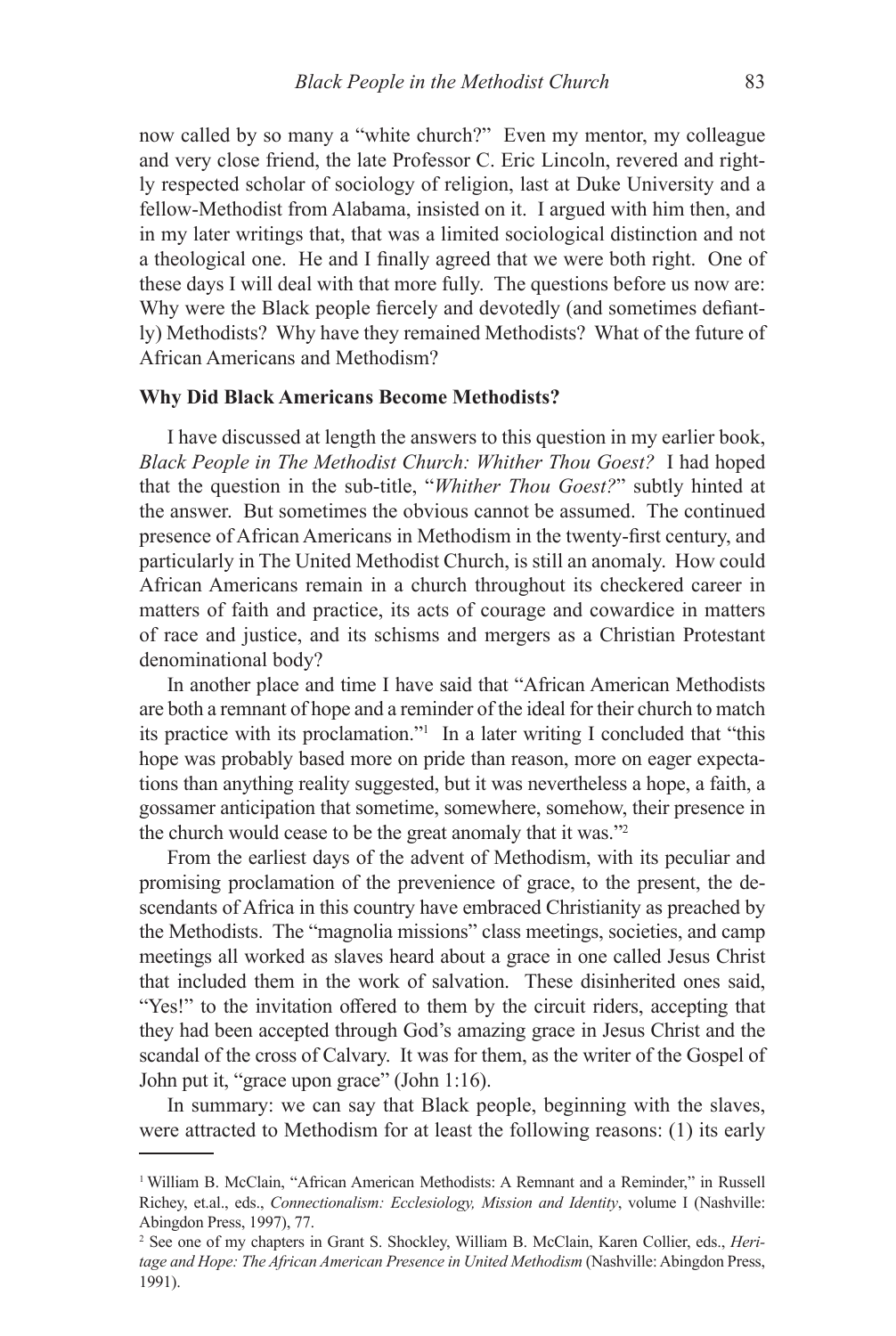now called by so many a "white church?" Even my mentor, my colleague and very close friend, the late Professor C. Eric Lincoln, revered and rightly respected scholar of sociology of religion, last at Duke University and a fellow-Methodist from Alabama, insisted on it. I argued with him then, and in my later writings that, that was a limited sociological distinction and not a theological one. He and I finally agreed that we were both right. One of these days I will deal with that more fully. The questions before us now are: Why were the Black people fiercely and devotedly (and sometimes defiantly) Methodists? Why have they remained Methodists? What of the future of African Americans and Methodism?

#### **Why Did Black Americans Become Methodists?**

I have discussed at length the answers to this question in my earlier book, *Black People in The Methodist Church: Whither Thou Goest?* I had hoped that the question in the sub-title, "*Whither Thou Goest?*" subtly hinted at the answer. But sometimes the obvious cannot be assumed. The continued presence of African Americans in Methodism in the twenty-first century, and particularly in The United Methodist Church, is still an anomaly. How could African Americans remain in a church throughout its checkered career in matters of faith and practice, its acts of courage and cowardice in matters of race and justice, and its schisms and mergers as a Christian Protestant denominational body?

In another place and time I have said that "African American Methodists are both a remnant of hope and a reminder of the ideal for their church to match its practice with its proclamation."<sup>1</sup> In a later writing I concluded that "this hope was probably based more on pride than reason, more on eager expectations than anything reality suggested, but it was nevertheless a hope, a faith, a gossamer anticipation that sometime, somewhere, somehow, their presence in the church would cease to be the great anomaly that it was."<sup>2</sup>

From the earliest days of the advent of Methodism, with its peculiar and promising proclamation of the prevenience of grace, to the present, the descendants of Africa in this country have embraced Christianity as preached by the Methodists. The "magnolia missions" class meetings, societies, and camp meetings all worked as slaves heard about a grace in one called Jesus Christ that included them in the work of salvation. These disinherited ones said, "Yes!" to the invitation offered to them by the circuit riders, accepting that they had been accepted through God's amazing grace in Jesus Christ and the scandal of the cross of Calvary. It was for them, as the writer of the Gospel of John put it, "grace upon grace" (John 1:16).

In summary: we can say that Black people, beginning with the slaves, were attracted to Methodism for at least the following reasons: (1) its early

<sup>&</sup>lt;sup>1</sup> William B. McClain, "African American Methodists: A Remnant and a Reminder," in Russell Richey, et.al., eds., *Connectionalism: Ecclesiology, Mission and Identity*, volume I (Nashville: Abingdon Press, 1997), 77.

<sup>2</sup> See one of my chapters in Grant S. Shockley, William B. McClain, Karen Collier, eds., *Heritage and Hope: The African American Presence in United Methodism* (Nashville: Abingdon Press, 1991).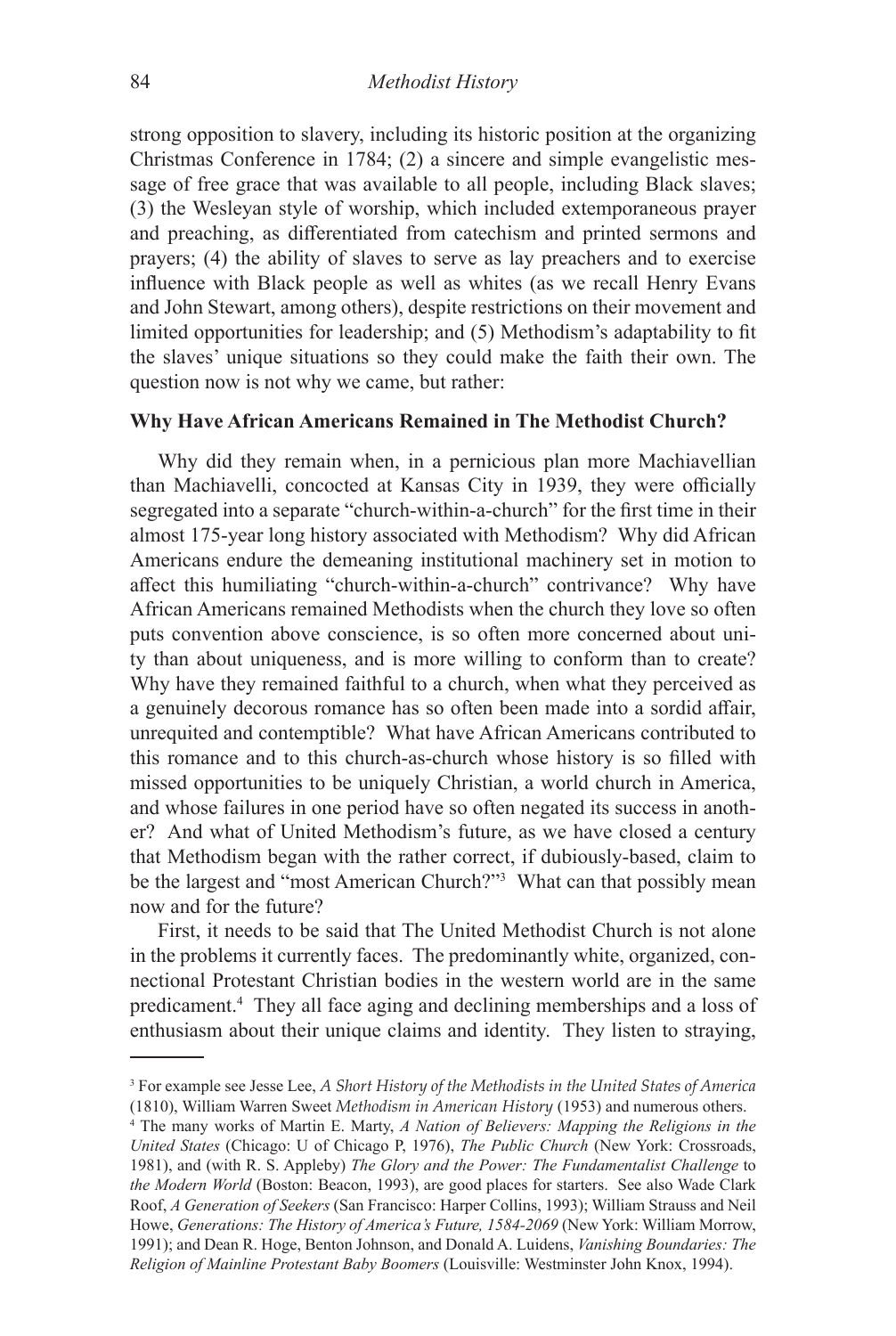strong opposition to slavery, including its historic position at the organizing Christmas Conference in 1784; (2) a sincere and simple evangelistic message of free grace that was available to all people, including Black slaves; (3) the Wesleyan style of worship, which included extemporaneous prayer and preaching, as differentiated from catechism and printed sermons and prayers; (4) the ability of slaves to serve as lay preachers and to exercise influence with Black people as well as whites (as we recall Henry Evans and John Stewart, among others), despite restrictions on their movement and limited opportunities for leadership; and (5) Methodism's adaptability to fit the slaves' unique situations so they could make the faith their own. The question now is not why we came, but rather:

#### **Why Have African Americans Remained in The Methodist Church?**

Why did they remain when, in a pernicious plan more Machiavellian than Machiavelli, concocted at Kansas City in 1939, they were officially segregated into a separate "church-within-a-church" for the first time in their almost 175-year long history associated with Methodism? Why did African Americans endure the demeaning institutional machinery set in motion to affect this humiliating "church-within-a-church" contrivance? Why have African Americans remained Methodists when the church they love so often puts convention above conscience, is so often more concerned about unity than about uniqueness, and is more willing to conform than to create? Why have they remained faithful to a church, when what they perceived as a genuinely decorous romance has so often been made into a sordid affair, unrequited and contemptible? What have African Americans contributed to this romance and to this church-as-church whose history is so filled with missed opportunities to be uniquely Christian, a world church in America, and whose failures in one period have so often negated its success in another? And what of United Methodism's future, as we have closed a century that Methodism began with the rather correct, if dubiously-based, claim to be the largest and "most American Church?"<sup>3</sup> What can that possibly mean now and for the future?

First, it needs to be said that The United Methodist Church is not alone in the problems it currently faces. The predominantly white, organized, connectional Protestant Christian bodies in the western world are in the same predicament.4 They all face aging and declining memberships and a loss of enthusiasm about their unique claims and identity. They listen to straying,

<sup>3</sup> For example see Jesse Lee, *A Short History of the Methodists in the United States of America*  (1810), William Warren Sweet *Methodism in American History* (1953) and numerous others.

<sup>4</sup> The many works of Martin E. Marty, *A Nation of Believers: Mapping the Religions in the United States* (Chicago: U of Chicago P, 1976), *The Public Church* (New York: Crossroads, 1981), and (with R. S. Appleby) *The Glory and the Power: The Fundamentalist Challenge* to *the Modern World* (Boston: Beacon, 1993), are good places for starters. See also Wade Clark Roof, *A Generation of Seekers* (San Francisco: Harper Collins, 1993); William Strauss and Neil Howe, *Generations: The History of America's Future, 1584-2069* (New York: William Morrow, 1991); and Dean R. Hoge, Benton Johnson, and Donald A. Luidens, *Vanishing Boundaries: The Religion of Mainline Protestant Baby Boomers* (Louisville: Westminster John Knox, 1994).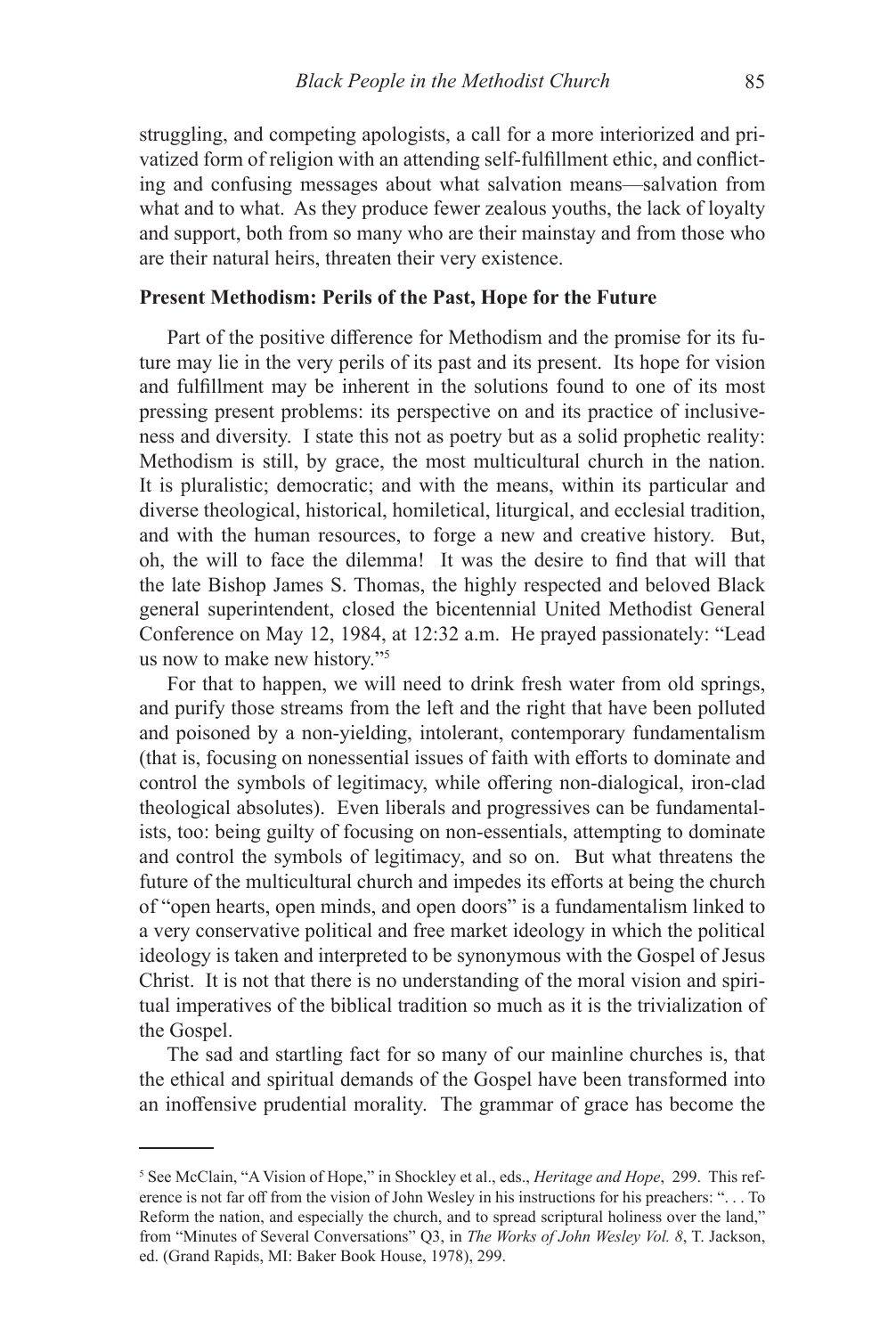struggling, and competing apologists, a call for a more interiorized and privatized form of religion with an attending self-fulfillment ethic, and conflicting and confusing messages about what salvation means—salvation from what and to what. As they produce fewer zealous youths, the lack of loyalty and support, both from so many who are their mainstay and from those who are their natural heirs, threaten their very existence.

# **Present Methodism: Perils of the Past, Hope for the Future**

Part of the positive difference for Methodism and the promise for its future may lie in the very perils of its past and its present. Its hope for vision and fulfillment may be inherent in the solutions found to one of its most pressing present problems: its perspective on and its practice of inclusiveness and diversity. I state this not as poetry but as a solid prophetic reality: Methodism is still, by grace, the most multicultural church in the nation. It is pluralistic; democratic; and with the means, within its particular and diverse theological, historical, homiletical, liturgical, and ecclesial tradition, and with the human resources, to forge a new and creative history. But, oh, the will to face the dilemma! It was the desire to find that will that the late Bishop James S. Thomas, the highly respected and beloved Black general superintendent, closed the bicentennial United Methodist General Conference on May 12, 1984, at 12:32 a.m. He prayed passionately: "Lead us now to make new history."<sup>5</sup>

For that to happen, we will need to drink fresh water from old springs, and purify those streams from the left and the right that have been polluted and poisoned by a non-yielding, intolerant, contemporary fundamentalism (that is, focusing on nonessential issues of faith with efforts to dominate and control the symbols of legitimacy, while offering non-dialogical, iron-clad theological absolutes). Even liberals and progressives can be fundamentalists, too: being guilty of focusing on non-essentials, attempting to dominate and control the symbols of legitimacy, and so on. But what threatens the future of the multicultural church and impedes its efforts at being the church of "open hearts, open minds, and open doors" is a fundamentalism linked to a very conservative political and free market ideology in which the political ideology is taken and interpreted to be synonymous with the Gospel of Jesus Christ. It is not that there is no understanding of the moral vision and spiritual imperatives of the biblical tradition so much as it is the trivialization of the Gospel.

The sad and startling fact for so many of our mainline churches is, that the ethical and spiritual demands of the Gospel have been transformed into an inoffensive prudential morality. The grammar of grace has become the

<sup>5</sup> See McClain, "A Vision of Hope," in Shockley et al., eds., *Heritage and Hope*, 299. This reference is not far off from the vision of John Wesley in his instructions for his preachers: ". . . To Reform the nation, and especially the church, and to spread scriptural holiness over the land," from "Minutes of Several Conversations" Q3, in *The Works of John Wesley Vol. 8*, T. Jackson, ed. (Grand Rapids, MI: Baker Book House, 1978), 299.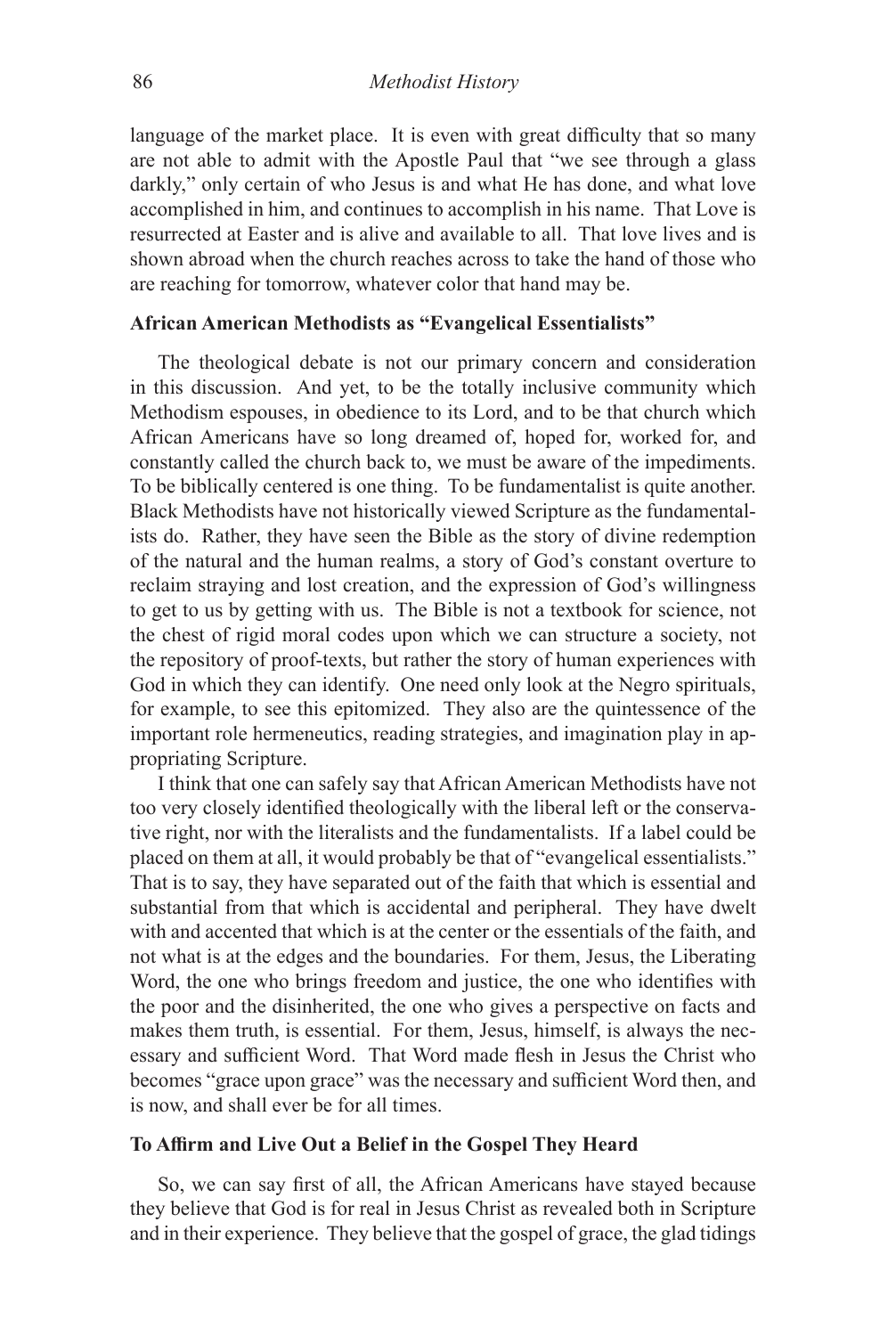language of the market place. It is even with great difficulty that so many are not able to admit with the Apostle Paul that "we see through a glass darkly," only certain of who Jesus is and what He has done, and what love accomplished in him, and continues to accomplish in his name. That Love is resurrected at Easter and is alive and available to all. That love lives and is shown abroad when the church reaches across to take the hand of those who are reaching for tomorrow, whatever color that hand may be.

# **African American Methodists as "Evangelical Essentialists"**

The theological debate is not our primary concern and consideration in this discussion. And yet, to be the totally inclusive community which Methodism espouses, in obedience to its Lord, and to be that church which African Americans have so long dreamed of, hoped for, worked for, and constantly called the church back to, we must be aware of the impediments. To be biblically centered is one thing. To be fundamentalist is quite another. Black Methodists have not historically viewed Scripture as the fundamentalists do. Rather, they have seen the Bible as the story of divine redemption of the natural and the human realms, a story of God's constant overture to reclaim straying and lost creation, and the expression of God's willingness to get to us by getting with us. The Bible is not a textbook for science, not the chest of rigid moral codes upon which we can structure a society, not the repository of proof-texts, but rather the story of human experiences with God in which they can identify. One need only look at the Negro spirituals, for example, to see this epitomized. They also are the quintessence of the important role hermeneutics, reading strategies, and imagination play in appropriating Scripture.

I think that one can safely say that African American Methodists have not too very closely identified theologically with the liberal left or the conservative right, nor with the literalists and the fundamentalists. If a label could be placed on them at all, it would probably be that of "evangelical essentialists." That is to say, they have separated out of the faith that which is essential and substantial from that which is accidental and peripheral. They have dwelt with and accented that which is at the center or the essentials of the faith, and not what is at the edges and the boundaries. For them, Jesus, the Liberating Word, the one who brings freedom and justice, the one who identifies with the poor and the disinherited, the one who gives a perspective on facts and makes them truth, is essential. For them, Jesus, himself, is always the necessary and sufficient Word. That Word made flesh in Jesus the Christ who becomes "grace upon grace" was the necessary and sufficient Word then, and is now, and shall ever be for all times.

### **To Affirm and Live Out a Belief in the Gospel They Heard**

So, we can say first of all, the African Americans have stayed because they believe that God is for real in Jesus Christ as revealed both in Scripture and in their experience. They believe that the gospel of grace, the glad tidings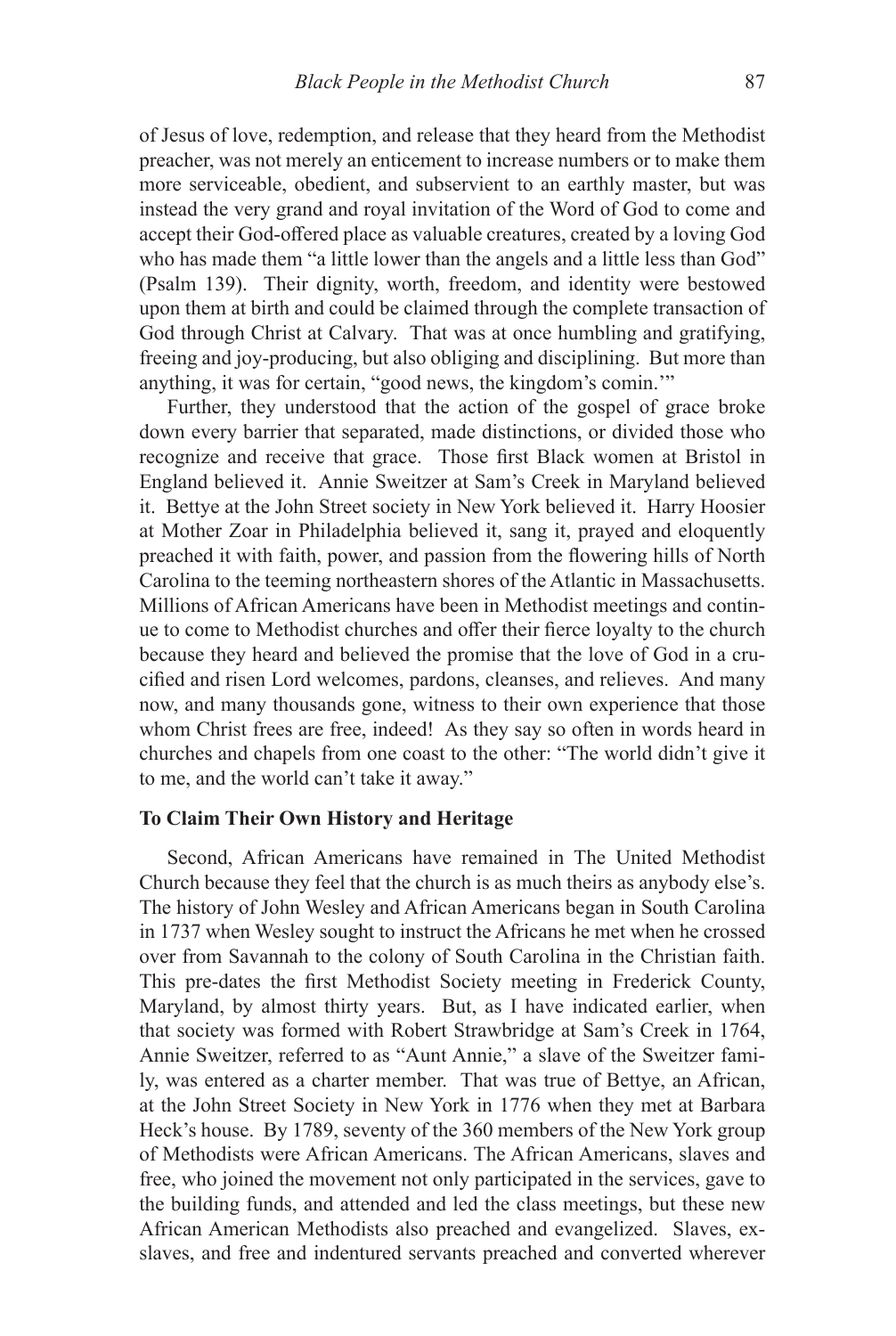of Jesus of love, redemption, and release that they heard from the Methodist preacher, was not merely an enticement to increase numbers or to make them more serviceable, obedient, and subservient to an earthly master, but was instead the very grand and royal invitation of the Word of God to come and accept their God-offered place as valuable creatures, created by a loving God who has made them "a little lower than the angels and a little less than God" (Psalm 139). Their dignity, worth, freedom, and identity were bestowed upon them at birth and could be claimed through the complete transaction of God through Christ at Calvary. That was at once humbling and gratifying, freeing and joy-producing, but also obliging and disciplining. But more than anything, it was for certain, "good news, the kingdom's comin.'"

Further, they understood that the action of the gospel of grace broke down every barrier that separated, made distinctions, or divided those who recognize and receive that grace. Those first Black women at Bristol in England believed it. Annie Sweitzer at Sam's Creek in Maryland believed it. Bettye at the John Street society in New York believed it. Harry Hoosier at Mother Zoar in Philadelphia believed it, sang it, prayed and eloquently preached it with faith, power, and passion from the flowering hills of North Carolina to the teeming northeastern shores of the Atlantic in Massachusetts. Millions of African Americans have been in Methodist meetings and continue to come to Methodist churches and offer their fierce loyalty to the church because they heard and believed the promise that the love of God in a crucified and risen Lord welcomes, pardons, cleanses, and relieves. And many now, and many thousands gone, witness to their own experience that those whom Christ frees are free, indeed! As they say so often in words heard in churches and chapels from one coast to the other: "The world didn't give it to me, and the world can't take it away."

# **To Claim Their Own History and Heritage**

Second, African Americans have remained in The United Methodist Church because they feel that the church is as much theirs as anybody else's. The history of John Wesley and African Americans began in South Carolina in 1737 when Wesley sought to instruct the Africans he met when he crossed over from Savannah to the colony of South Carolina in the Christian faith. This pre-dates the first Methodist Society meeting in Frederick County, Maryland, by almost thirty years. But, as I have indicated earlier, when that society was formed with Robert Strawbridge at Sam's Creek in 1764, Annie Sweitzer, referred to as "Aunt Annie," a slave of the Sweitzer family, was entered as a charter member. That was true of Bettye, an African, at the John Street Society in New York in 1776 when they met at Barbara Heck's house. By 1789, seventy of the 360 members of the New York group of Methodists were African Americans. The African Americans, slaves and free, who joined the movement not only participated in the services, gave to the building funds, and attended and led the class meetings, but these new African American Methodists also preached and evangelized. Slaves, exslaves, and free and indentured servants preached and converted wherever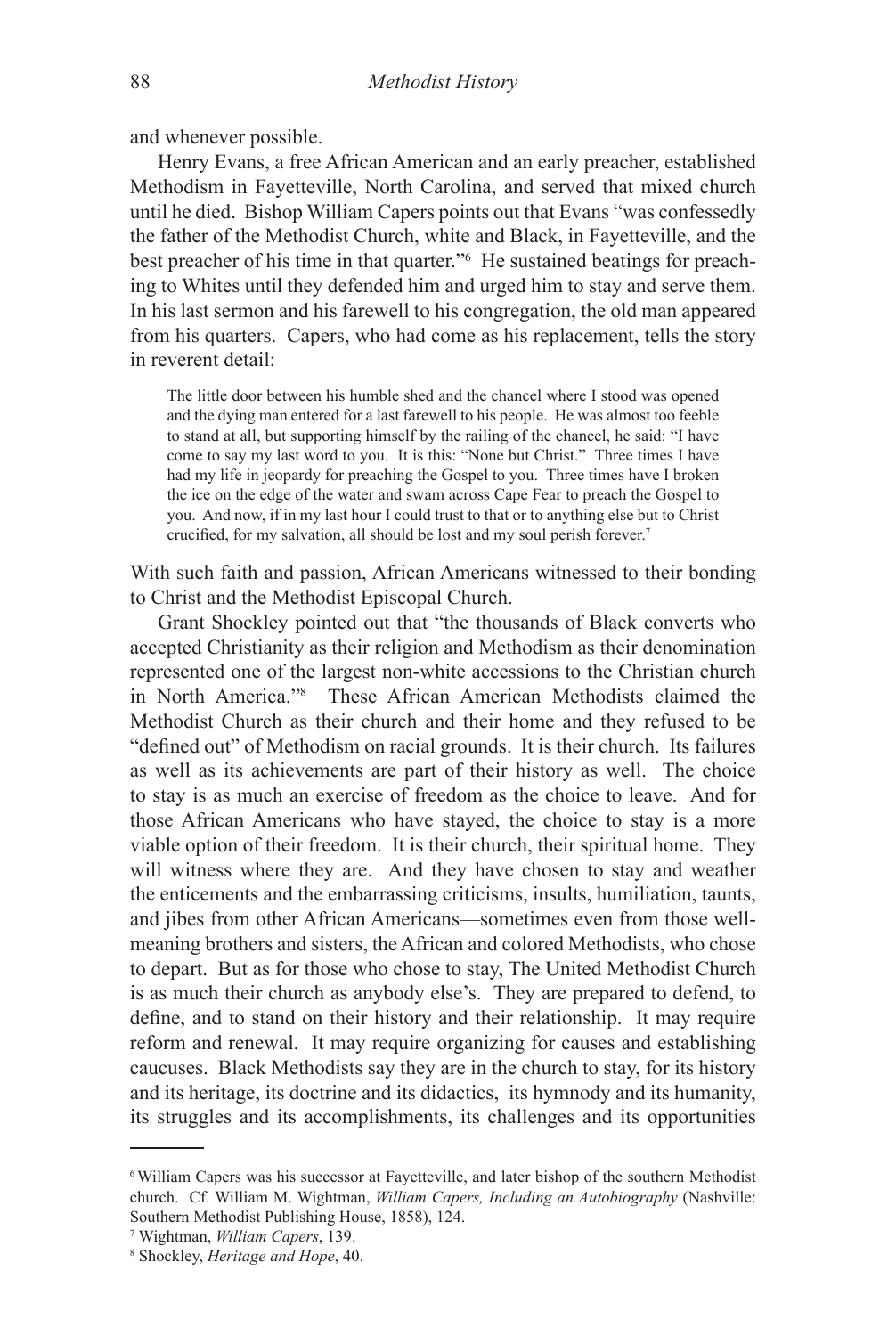and whenever possible.

Henry Evans, a free African American and an early preacher, established Methodism in Fayetteville, North Carolina, and served that mixed church until he died. Bishop William Capers points out that Evans "was confessedly the father of the Methodist Church, white and Black, in Fayetteville, and the best preacher of his time in that quarter."6 He sustained beatings for preaching to Whites until they defended him and urged him to stay and serve them. In his last sermon and his farewell to his congregation, the old man appeared from his quarters. Capers, who had come as his replacement, tells the story in reverent detail:

The little door between his humble shed and the chancel where I stood was opened and the dying man entered for a last farewell to his people. He was almost too feeble to stand at all, but supporting himself by the railing of the chancel, he said: "I have come to say my last word to you. It is this: "None but Christ." Three times I have had my life in jeopardy for preaching the Gospel to you. Three times have I broken the ice on the edge of the water and swam across Cape Fear to preach the Gospel to you. And now, if in my last hour I could trust to that or to anything else but to Christ crucified, for my salvation, all should be lost and my soul perish forever.<sup>7</sup>

With such faith and passion, African Americans witnessed to their bonding to Christ and the Methodist Episcopal Church.

Grant Shockley pointed out that "the thousands of Black converts who accepted Christianity as their religion and Methodism as their denomination represented one of the largest non-white accessions to the Christian church in North America."8 These African American Methodists claimed the Methodist Church as their church and their home and they refused to be "defined out" of Methodism on racial grounds. It is their church. Its failures as well as its achievements are part of their history as well. The choice to stay is as much an exercise of freedom as the choice to leave. And for those African Americans who have stayed, the choice to stay is a more viable option of their freedom. It is their church, their spiritual home. They will witness where they are. And they have chosen to stay and weather the enticements and the embarrassing criticisms, insults, humiliation, taunts, and jibes from other African Americans—sometimes even from those wellmeaning brothers and sisters, the African and colored Methodists, who chose to depart. But as for those who chose to stay, The United Methodist Church is as much their church as anybody else's. They are prepared to defend, to define, and to stand on their history and their relationship. It may require reform and renewal. It may require organizing for causes and establishing caucuses. Black Methodists say they are in the church to stay, for its history and its heritage, its doctrine and its didactics, its hymnody and its humanity, its struggles and its accomplishments, its challenges and its opportunities

<sup>6</sup> William Capers was his successor at Fayetteville, and later bishop of the southern Methodist church. Cf. William M. Wightman, *William Capers, Including an Autobiography* (Nashville: Southern Methodist Publishing House, 1858), 124.

<sup>7</sup> Wightman, *William Capers*, 139.

<sup>8</sup> Shockley, *Heritage and Hope*, 40.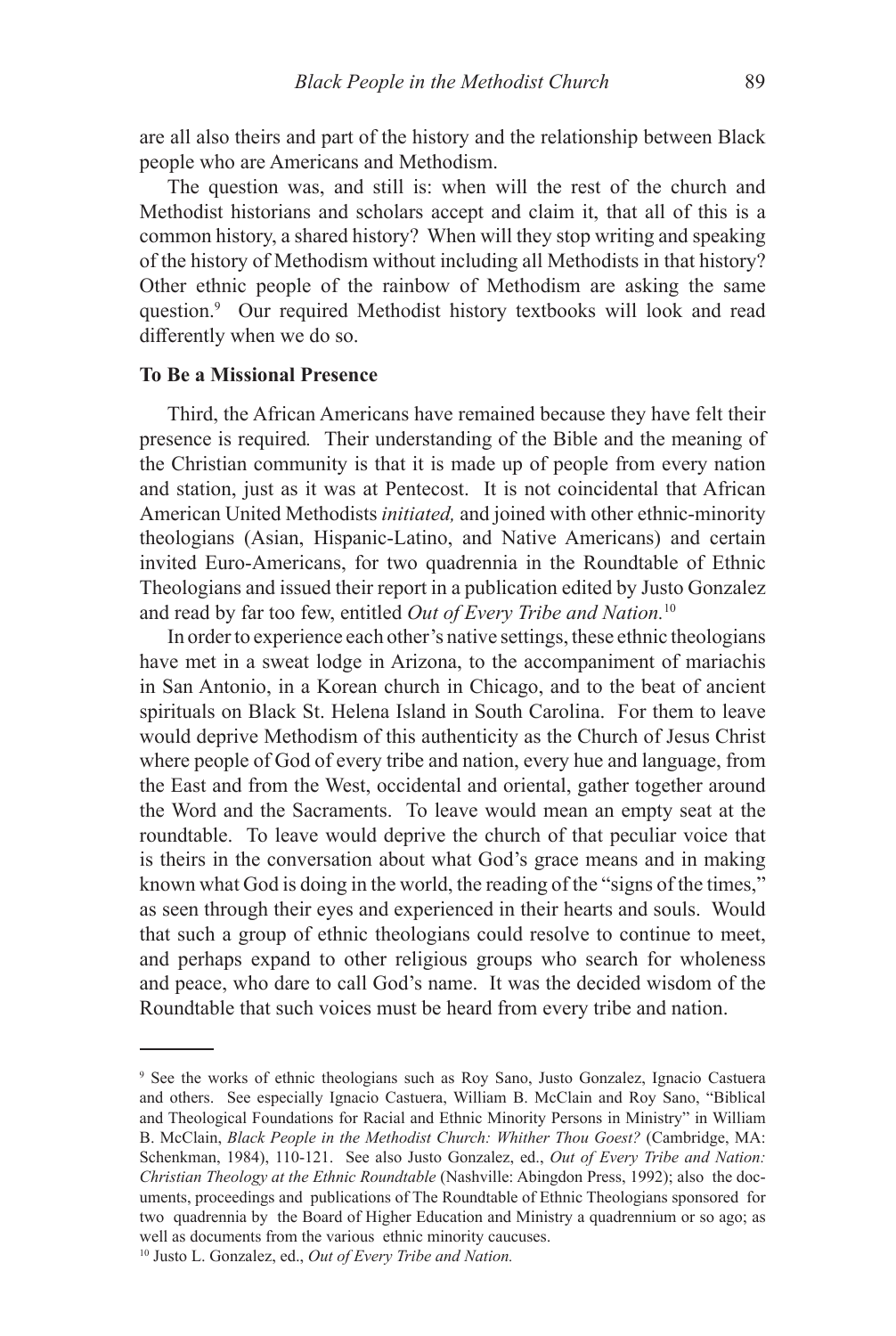are all also theirs and part of the history and the relationship between Black people who are Americans and Methodism.

The question was, and still is: when will the rest of the church and Methodist historians and scholars accept and claim it, that all of this is a common history, a shared history? When will they stop writing and speaking of the history of Methodism without including all Methodists in that history? Other ethnic people of the rainbow of Methodism are asking the same question.9 Our required Methodist history textbooks will look and read differently when we do so.

### **To Be a Missional Presence**

Third, the African Americans have remained because they have felt their presence is required*.* Their understanding of the Bible and the meaning of the Christian community is that it is made up of people from every nation and station, just as it was at Pentecost. It is not coincidental that African American United Methodists *initiated,* and joined with other ethnic-minority theologians (Asian, Hispanic-Latino, and Native Americans) and certain invited Euro-Americans, for two quadrennia in the Roundtable of Ethnic Theologians and issued their report in a publication edited by Justo Gonzalez and read by far too few, entitled *Out of Every Tribe and Nation.*<sup>10</sup>

In order to experience each other's native settings, these ethnic theologians have met in a sweat lodge in Arizona, to the accompaniment of mariachis in San Antonio, in a Korean church in Chicago, and to the beat of ancient spirituals on Black St. Helena Island in South Carolina. For them to leave would deprive Methodism of this authenticity as the Church of Jesus Christ where people of God of every tribe and nation, every hue and language, from the East and from the West, occidental and oriental, gather together around the Word and the Sacraments. To leave would mean an empty seat at the roundtable. To leave would deprive the church of that peculiar voice that is theirs in the conversation about what God's grace means and in making known what God is doing in the world, the reading of the "signs of the times," as seen through their eyes and experienced in their hearts and souls. Would that such a group of ethnic theologians could resolve to continue to meet, and perhaps expand to other religious groups who search for wholeness and peace, who dare to call God's name. It was the decided wisdom of the Roundtable that such voices must be heard from every tribe and nation.

<sup>9</sup> See the works of ethnic theologians such as Roy Sano, Justo Gonzalez, Ignacio Castuera and others. See especially Ignacio Castuera, William B. McClain and Roy Sano, "Biblical and Theological Foundations for Racial and Ethnic Minority Persons in Ministry" in William B. McClain, *Black People in the Methodist Church: Whither Thou Goest?* (Cambridge, MA: Schenkman, 1984), 110-121. See also Justo Gonzalez, ed., *Out of Every Tribe and Nation: Christian Theology at the Ethnic Roundtable* (Nashville: Abingdon Press, 1992); also the documents, proceedings and publications of The Roundtable of Ethnic Theologians sponsored for two quadrennia by the Board of Higher Education and Ministry a quadrennium or so ago; as well as documents from the various ethnic minority caucuses.

<sup>10</sup> Justo L. Gonzalez, ed., *Out of Every Tribe and Nation.*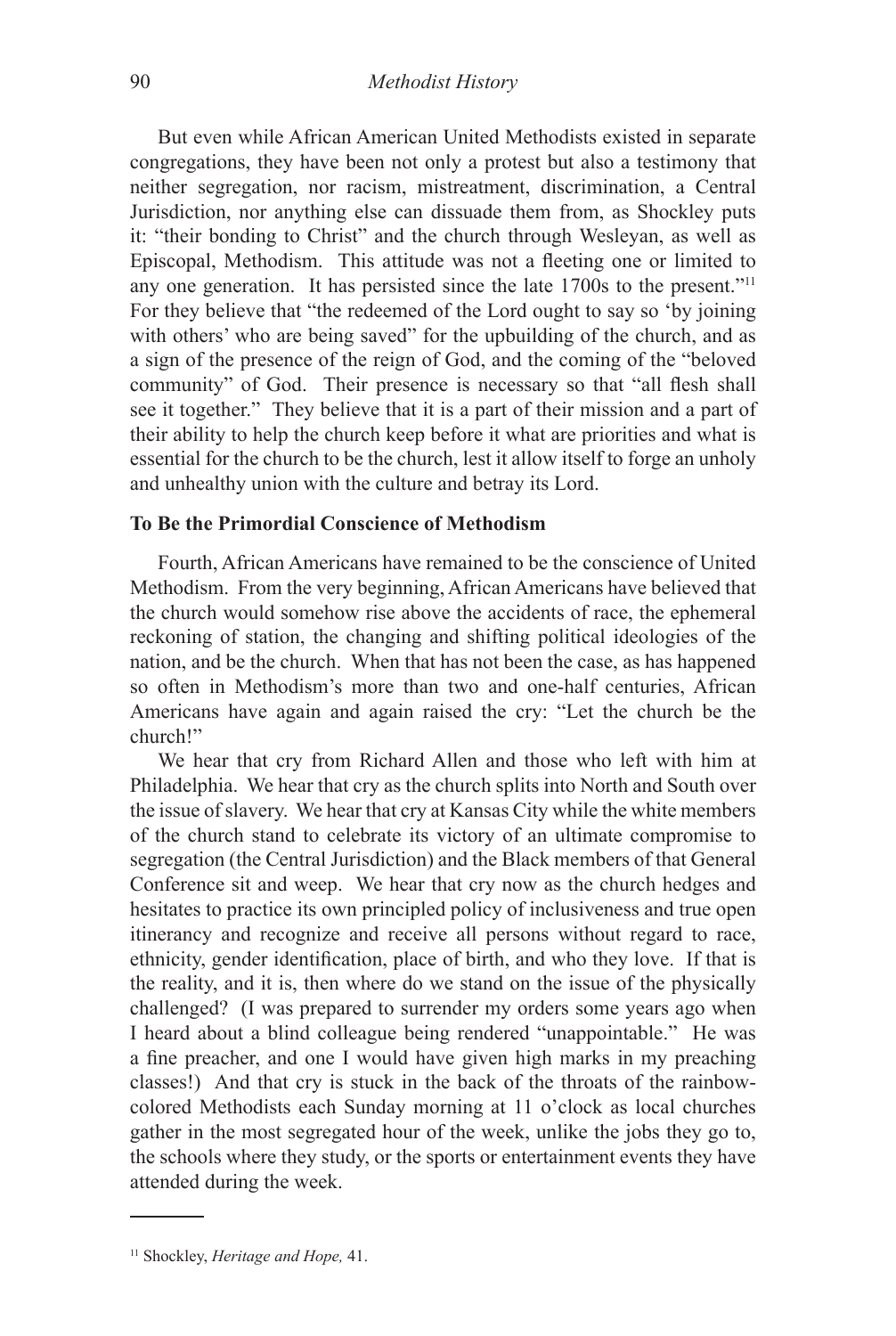But even while African American United Methodists existed in separate congregations, they have been not only a protest but also a testimony that neither segregation, nor racism, mistreatment, discrimination, a Central Jurisdiction, nor anything else can dissuade them from, as Shockley puts it: "their bonding to Christ" and the church through Wesleyan, as well as Episcopal, Methodism. This attitude was not a fleeting one or limited to any one generation. It has persisted since the late 1700s to the present."<sup>11</sup> For they believe that "the redeemed of the Lord ought to say so 'by joining with others' who are being saved" for the upbuilding of the church, and as a sign of the presence of the reign of God, and the coming of the "beloved community" of God. Their presence is necessary so that "all flesh shall see it together." They believe that it is a part of their mission and a part of their ability to help the church keep before it what are priorities and what is essential for the church to be the church, lest it allow itself to forge an unholy and unhealthy union with the culture and betray its Lord.

# **To Be the Primordial Conscience of Methodism**

Fourth, African Americans have remained to be the conscience of United Methodism. From the very beginning, African Americans have believed that the church would somehow rise above the accidents of race, the ephemeral reckoning of station, the changing and shifting political ideologies of the nation, and be the church. When that has not been the case, as has happened so often in Methodism's more than two and one-half centuries, African Americans have again and again raised the cry: "Let the church be the church!"

We hear that cry from Richard Allen and those who left with him at Philadelphia. We hear that cry as the church splits into North and South over the issue of slavery. We hear that cry at Kansas City while the white members of the church stand to celebrate its victory of an ultimate compromise to segregation (the Central Jurisdiction) and the Black members of that General Conference sit and weep. We hear that cry now as the church hedges and hesitates to practice its own principled policy of inclusiveness and true open itinerancy and recognize and receive all persons without regard to race, ethnicity, gender identification, place of birth, and who they love. If that is the reality, and it is, then where do we stand on the issue of the physically challenged? (I was prepared to surrender my orders some years ago when I heard about a blind colleague being rendered "unappointable." He was a fine preacher, and one I would have given high marks in my preaching classes!) And that cry is stuck in the back of the throats of the rainbowcolored Methodists each Sunday morning at 11 o'clock as local churches gather in the most segregated hour of the week, unlike the jobs they go to, the schools where they study, or the sports or entertainment events they have attended during the week.

<sup>11</sup> Shockley, *Heritage and Hope,* 41.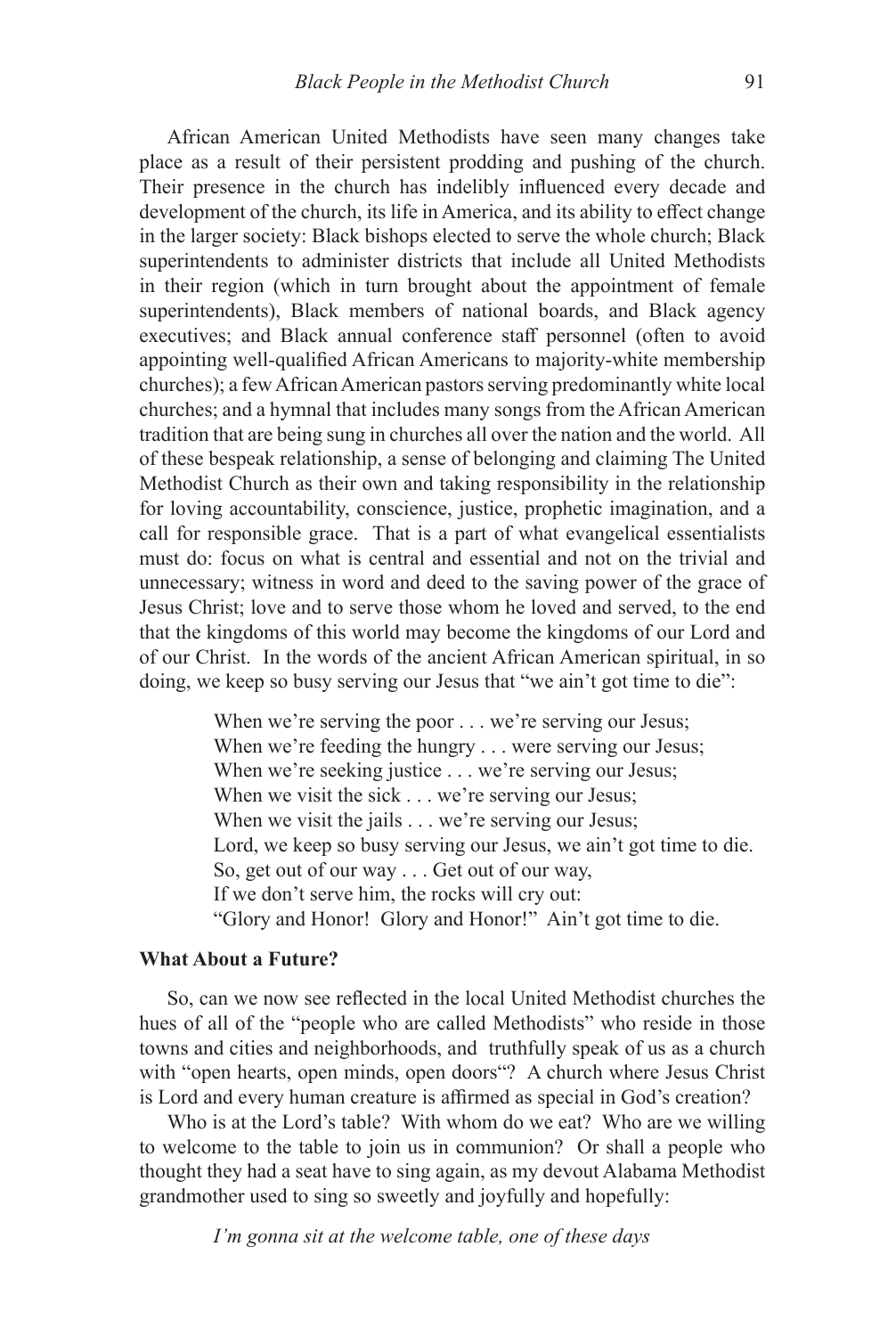African American United Methodists have seen many changes take place as a result of their persistent prodding and pushing of the church. Their presence in the church has indelibly influenced every decade and development of the church, its life in America, and its ability to effect change in the larger society: Black bishops elected to serve the whole church; Black superintendents to administer districts that include all United Methodists in their region (which in turn brought about the appointment of female superintendents), Black members of national boards, and Black agency executives; and Black annual conference staff personnel (often to avoid appointing well-qualified African Americans to majority-white membership churches); a few African American pastors serving predominantly white local churches; and a hymnal that includes many songs from the African American tradition that are being sung in churches all over the nation and the world. All of these bespeak relationship, a sense of belonging and claiming The United Methodist Church as their own and taking responsibility in the relationship for loving accountability, conscience, justice, prophetic imagination, and a call for responsible grace. That is a part of what evangelical essentialists must do: focus on what is central and essential and not on the trivial and unnecessary; witness in word and deed to the saving power of the grace of Jesus Christ; love and to serve those whom he loved and served, to the end that the kingdoms of this world may become the kingdoms of our Lord and of our Christ. In the words of the ancient African American spiritual, in so doing, we keep so busy serving our Jesus that "we ain't got time to die":

> When we're serving the poor . . . we're serving our Jesus; When we're feeding the hungry . . . were serving our Jesus; When we're seeking justice . . . we're serving our Jesus; When we visit the sick . . . we're serving our Jesus; When we visit the jails . . . we're serving our Jesus; Lord, we keep so busy serving our Jesus, we ain't got time to die. So, get out of our way . . . Get out of our way, If we don't serve him, the rocks will cry out: "Glory and Honor! Glory and Honor!" Ain't got time to die.

# **What About a Future?**

So, can we now see reflected in the local United Methodist churches the hues of all of the "people who are called Methodists" who reside in those towns and cities and neighborhoods, and truthfully speak of us as a church with "open hearts, open minds, open doors"? A church where Jesus Christ is Lord and every human creature is affirmed as special in God's creation?

Who is at the Lord's table? With whom do we eat? Who are we willing to welcome to the table to join us in communion? Or shall a people who thought they had a seat have to sing again, as my devout Alabama Methodist grandmother used to sing so sweetly and joyfully and hopefully:

*I'm gonna sit at the welcome table, one of these days*